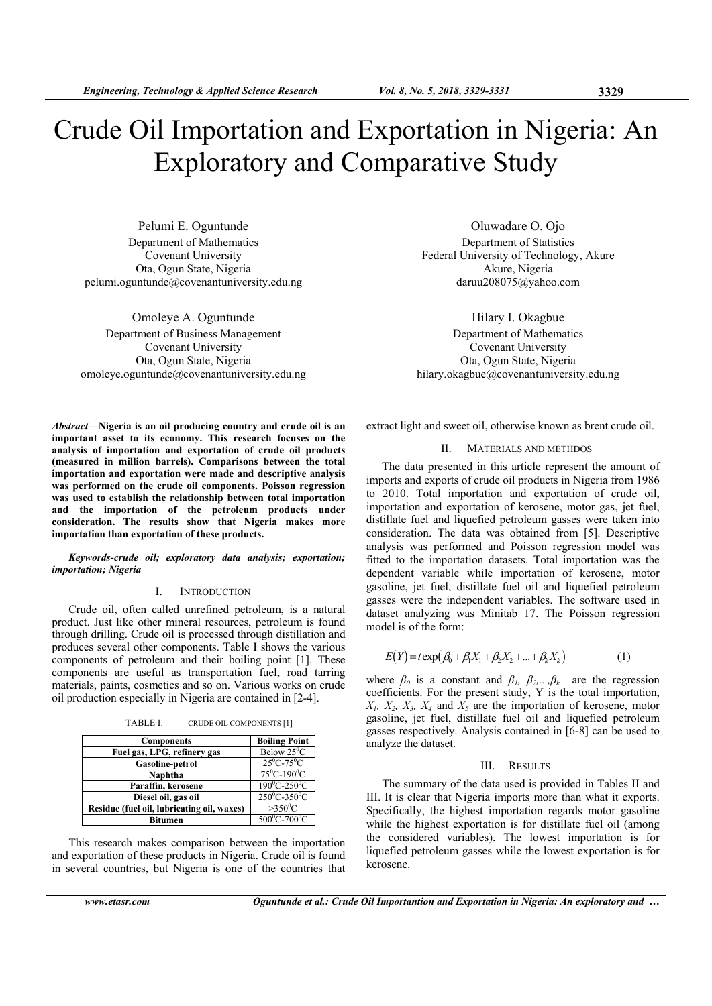# Crude Oil Importation and Exportation in Nigeria: An Exploratory and Comparative Study

Pelumi E. Oguntunde Department of Mathematics Covenant University Ota, Ogun State, Nigeria pelumi.oguntunde@covenantuniversity.edu.ng

Omoleye A. Oguntunde Department of Business Management Covenant University Ota, Ogun State, Nigeria omoleye.oguntunde@covenantuniversity.edu.ng

Oluwadare O. Ojo Department of Statistics Federal University of Technology, Akure Akure, Nigeria daruu208075@yahoo.com

Hilary I. Okagbue Department of Mathematics Covenant University Ota, Ogun State, Nigeria hilary.okagbue@covenantuniversity.edu.ng

*Abstract***—Nigeria is an oil producing country and crude oil is an important asset to its economy. This research focuses on the analysis of importation and exportation of crude oil products (measured in million barrels). Comparisons between the total importation and exportation were made and descriptive analysis was performed on the crude oil components. Poisson regression was used to establish the relationship between total importation and the importation of the petroleum products under consideration. The results show that Nigeria makes more importation than exportation of these products.** 

*Keywords-crude oil; exploratory data analysis; exportation; importation; Nigeria* 

#### I. INTRODUCTION

Crude oil, often called unrefined petroleum, is a natural product. Just like other mineral resources, petroleum is found through drilling. Crude oil is processed through distillation and produces several other components. Table I shows the various components of petroleum and their boiling point [1]. These components are useful as transportation fuel, road tarring materials, paints, cosmetics and so on. Various works on crude oil production especially in Nigeria are contained in [2-4].

TABLE I. CRUDE OIL COMPONENTS [1]

| <b>Components</b>                          | <b>Boiling Point</b>             |
|--------------------------------------------|----------------------------------|
| Fuel gas, LPG, refinery gas                | Below $25^{\circ}$ C             |
| <b>Gasoline-petrol</b>                     | $25^{\circ}$ C-75 $^{\circ}$ C   |
| Naphtha                                    | $75^0C - 190^0C$                 |
| Paraffin, kerosene                         | $190^{\circ}$ C-250 $^{\circ}$ C |
| Diesel oil, gas oil                        | $250^{\circ}$ C-350 $^{\circ}$ C |
| Residue (fuel oil, lubricating oil, waxes) | $>350^{\circ}$ C                 |
| Bitumen                                    | $500^{\circ}$ C-700 $^{\circ}$ C |

This research makes comparison between the importation and exportation of these products in Nigeria. Crude oil is found in several countries, but Nigeria is one of the countries that extract light and sweet oil, otherwise known as brent crude oil.

# II. MATERIALS AND METHDOS

The data presented in this article represent the amount of imports and exports of crude oil products in Nigeria from 1986 to 2010. Total importation and exportation of crude oil, importation and exportation of kerosene, motor gas, jet fuel, distillate fuel and liquefied petroleum gasses were taken into consideration. The data was obtained from [5]. Descriptive analysis was performed and Poisson regression model was fitted to the importation datasets. Total importation was the dependent variable while importation of kerosene, motor gasoline, jet fuel, distillate fuel oil and liquefied petroleum gasses were the independent variables. The software used in dataset analyzing was Minitab 17. The Poisson regression model is of the form:

$$
E(Y) = t \exp(\beta_0 + \beta_1 X_1 + \beta_2 X_2 + ... + \beta_k X_k)
$$
 (1)

where  $\beta_0$  is a constant and  $\beta_1$ ,  $\beta_2$ ,  $\beta_k$  are the regression coefficients. For the present study, Y is the total importation,  $X_1, X_2, X_3, X_4$  and  $X_5$  are the importation of kerosene, motor gasoline, jet fuel, distillate fuel oil and liquefied petroleum gasses respectively. Analysis contained in [6-8] can be used to analyze the dataset.

## III. RESULTS

The summary of the data used is provided in Tables II and III. It is clear that Nigeria imports more than what it exports. Specifically, the highest importation regards motor gasoline while the highest exportation is for distillate fuel oil (among the considered variables). The lowest importation is for liquefied petroleum gasses while the lowest exportation is for kerosene.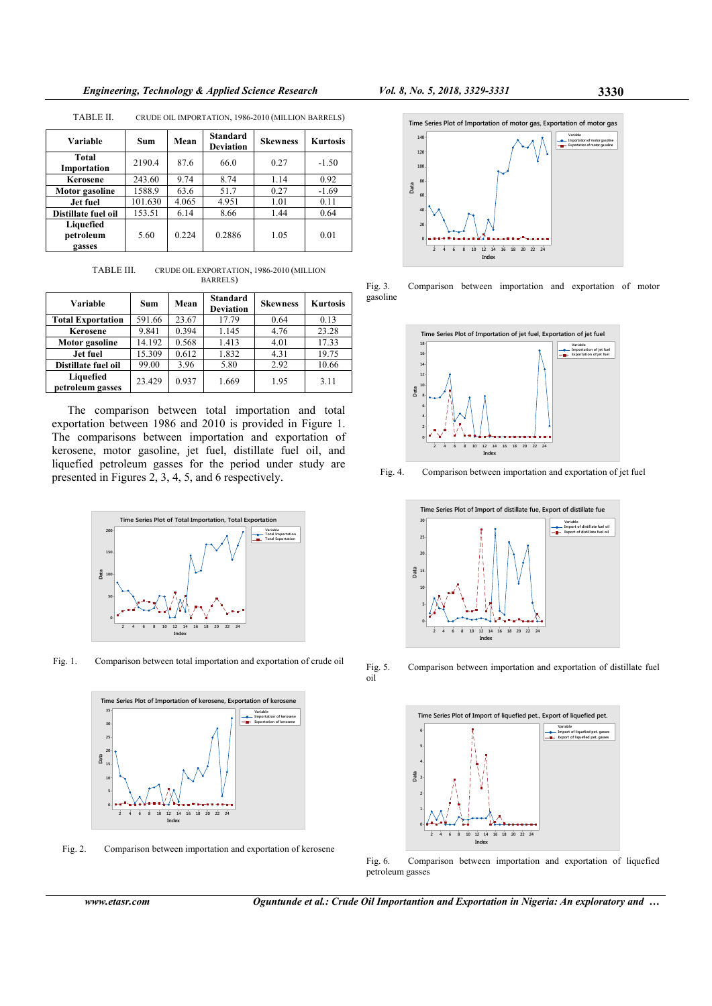*Engineering, Technology & Applied Science Research Vol. 8, No. 5, 2018, 3329-3331* **3330** 

| Variable                         | Sum     | Mean  | <b>Standard</b><br><b>Deviation</b> | <b>Skewness</b> | <b>Kurtosis</b> |
|----------------------------------|---------|-------|-------------------------------------|-----------------|-----------------|
| Total<br>Importation             | 2190.4  | 87.6  | 66.0                                | 0.27            | $-1.50$         |
| Kerosene                         | 243.60  | 9.74  | 8.74                                | 1.14            | 0.92            |
| Motor gasoline                   | 1588.9  | 63.6  | 51.7                                | 0.27            | $-1.69$         |
| Jet fuel                         | 101.630 | 4.065 | 4.951                               | 1.01            | 0.11            |
| Distillate fuel oil              | 153.51  | 6.14  | 8.66                                | 1.44            | 0.64            |
| Liquefied<br>petroleum<br>gasses | 5.60    | 0.224 | 0.2886                              | 1.05            | 0.01            |

TABLE II. CRUDE OIL IMPORTATION, 1986-2010 (MILLION BARRELS)

TABLE III. CRUDE OIL EXPORTATION, 1986-2010 (MILLION BARRELS)

| Variable                      | Sum    | Mean  | <b>Standard</b><br><b>Deviation</b> | <b>Skewness</b> | <b>Kurtosis</b> |
|-------------------------------|--------|-------|-------------------------------------|-----------------|-----------------|
| <b>Total Exportation</b>      | 591.66 | 23.67 | 17.79                               | 0.64            | 0.13            |
| Kerosene                      | 9.841  | 0.394 | 1.145                               | 4.76            | 23.28           |
| Motor gasoline                | 14.192 | 0.568 | 1.413                               | 4.01            | 17.33           |
| Jet fuel                      | 15.309 | 0.612 | 1.832                               | 4.31            | 19.75           |
| Distillate fuel oil           | 99.00  | 3.96  | 5.80                                | 2.92            | 10.66           |
| Liquefied<br>petroleum gasses | 23.429 | 0.937 | 1.669                               | 1.95            | 3.11            |

The comparison between total importation and total exportation between 1986 and 2010 is provided in Figure 1. The comparisons between importation and exportation of kerosene, motor gasoline, jet fuel, distillate fuel oil, and liquefied petroleum gasses for the period under study are presented in Figures 2, 3, 4, 5, and 6 respectively.



Fig. 1. Comparison between total importation and exportation of crude oil



Fig. 2. Comparison between importation and exportation of kerosene



Fig. 3. Comparison between importation and exportation of motor gasoline



Fig. 4. Comparison between importation and exportation of jet fuel



Fig. 5.<br>oil

Comparison between importation and exportation of distillate fuel



Fig. 6. Comparison between importation and exportation of liquefied petroleum gasses